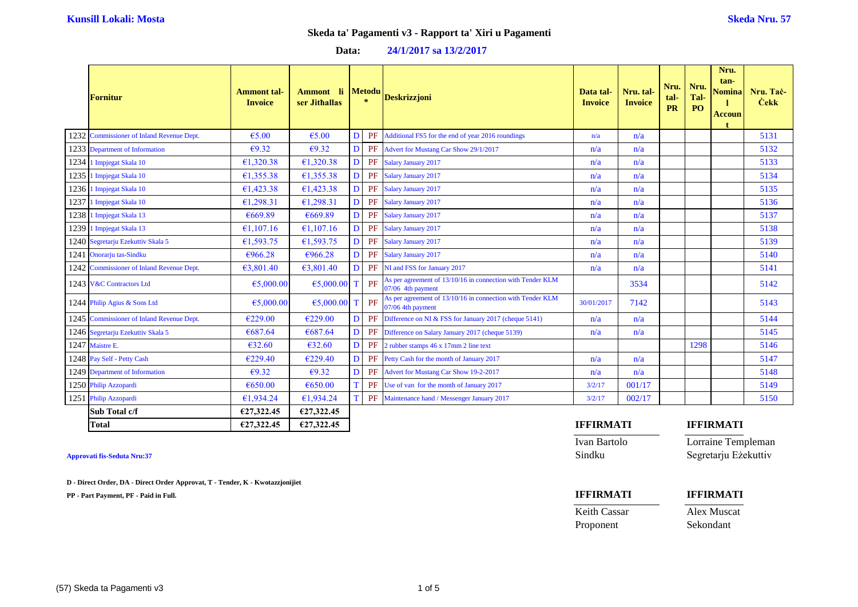### **Data: 24/1/2017 sa 13/2/2017**

| <b>Fornitur</b>                           | <b>Ammont</b> tal-<br><b>Invoice</b> | Ammont li<br>ser Jithallas |   | Metodu<br>$\star$ | <b>Deskrizzjoni</b>                                                             | Data tal-<br><b>Invoice</b> | Nru. tal-<br><b>Invoice</b> | Nru.<br>tal-<br>PR | Nru.<br>Tal-<br>PO | Nru.<br>$tan-$<br><b>Nomina</b><br><b>Accoun</b> | Nru. Tač<br><b>Cekk</b> |
|-------------------------------------------|--------------------------------------|----------------------------|---|-------------------|---------------------------------------------------------------------------------|-----------------------------|-----------------------------|--------------------|--------------------|--------------------------------------------------|-------------------------|
| 1232 Commissioner of Inland Revenue Dept. | €5.00                                | €5.00                      | D | PF                | Additional FS5 for the end of year 2016 roundings                               | n/a                         | n/a                         |                    |                    |                                                  | 5131                    |
| 1233 Department of Information            | E9.32                                | E9.32                      | D | PF                | Advert for Mustang Car Show 29/1/2017                                           | n/a                         | n/a                         |                    |                    |                                                  | 5132                    |
| 1234 1 Impjegat Skala 10                  | €1,320.38                            | €1,320.38                  | D | PF                | <b>Salary January 2017</b>                                                      | n/a                         | n/a                         |                    |                    |                                                  | 5133                    |
| 1235 1 Impjegat Skala 10                  | £1,355.38                            | 61,355.38                  | D | PF                | Salary January 2017                                                             | n/a                         | n/a                         |                    |                    |                                                  | 5134                    |
| 1236 1 Impjegat Skala 10                  | 61,423.38                            | 61,423.38                  | D | PF                | Salary January 2017                                                             | n/a                         | n/a                         |                    |                    |                                                  | 5135                    |
| 1237 1 Impjegat Skala 10                  | E1, 298.31                           | €1,298.31                  | D |                   | PF Salary January 2017                                                          | n/a                         | n/a                         |                    |                    |                                                  | 5136                    |
| 1238 1 Impjegat Skala 13                  | €669.89                              | €669.89                    | D |                   | PF Salary January 2017                                                          | n/a                         | n/a                         |                    |                    |                                                  | 5137                    |
| 1239 1 Impjegat Skala 13                  | €1,107.16                            | €1,107.16                  | D | PF                | Salary January 2017                                                             | n/a                         | n/a                         |                    |                    |                                                  | 5138                    |
| 1240 Segretarju Ezekuttiv Skala 5         | €1,593.75                            | €1,593.75                  | n |                   | PF Salary January 2017                                                          | n/a                         | n/a                         |                    |                    |                                                  | 5139                    |
| 1241 Onorarju tas-Sindku                  | €966.28                              | €966.28                    | D | PF                | Salary January 2017                                                             | n/a                         | n/a                         |                    |                    |                                                  | 5140                    |
| 1242 Commissioner of Inland Revenue Dept. | 63,801,40                            | 63,801.40                  | D |                   | PF NI and FSS for January 2017                                                  | n/a                         | n/a                         |                    |                    |                                                  | 5141                    |
| 1243 V&C Contractors Ltd                  | €5,000.00                            | 65,000.00                  | T | PF                | As per agreement of 13/10/16 in connection with Tender KLM<br>07/06 4th payment |                             | 3534                        |                    |                    |                                                  | 5142                    |
| 1244 Philip Agius & Sons Ltd              | €5,000.00                            | $65,000.00$ T              |   | PF                | As per agreement of 13/10/16 in connection with Tender KLM<br>07/06 4th payment | 30/01/2017                  | 7142                        |                    |                    |                                                  | 5143                    |
| 1245 Commissioner of Inland Revenue Dept. | €229.00                              | €229.00                    | D | PF                | Difference on NI & FSS for January 2017 (cheque 5141)                           | n/a                         | n/a                         |                    |                    |                                                  | 5144                    |
| 1246 Segretarju Ezekuttiv Skala 5         | €687.64                              | €687.64                    | D | PF                | Difference on Salary January 2017 (cheque 5139)                                 | n/a                         | n/a                         |                    |                    |                                                  | 5145                    |
| 1247 Maistre E.                           | €32.60                               | €32.60                     | D | PF                | 2 rubber stamps 46 x 17mm 2 line text                                           |                             |                             |                    | 1298               |                                                  | 5146                    |
| 1248 Pay Self - Petty Cash                | €229.40                              | €229.40                    | D | PF                | Petty Cash for the month of January 2017                                        | n/a                         | n/a                         |                    |                    |                                                  | 5147                    |
| 1249 Department of Information            | E9.32                                | $\epsilon$ 9.32            | D | PF                | Advert for Mustang Car Show 19-2-2017                                           | n/a                         | n/a                         |                    |                    |                                                  | 5148                    |
| 1250 Philip Azzopardi                     | €650.00                              | €650.00                    | T | PF                | Use of van for the month of January 2017                                        | 3/2/17                      | 001/17                      |                    |                    |                                                  | 5149                    |
| 1251 Philip Azzopardi                     | €1,934.24                            | €1,934.24                  | T | PF                | Maintenance hand / Messenger January 2017                                       | 3/2/17                      | 002/17                      |                    |                    |                                                  | 5150                    |
| Sub Total c/f                             | €27,322.45                           | €27,322.45                 |   |                   |                                                                                 |                             |                             |                    |                    |                                                  |                         |

**D - Direct Order, DA - Direct Order Approvat, T - Tender, K - Kwotazzjonijiet**

**PP - Part Payment, PF - Paid in Full. IFFIRMATI IFFIRMATI**

### **Total €27,322.45 €27,322.45 IFFIRMATI IFFIRMATI**

Ivan Bartolo Lorraine Templeman **Approvati fis-Seduta Nru:37** Sindku Segretarju Eżekuttiv

Keith Cassar Alex Muscat Proponent Sekondant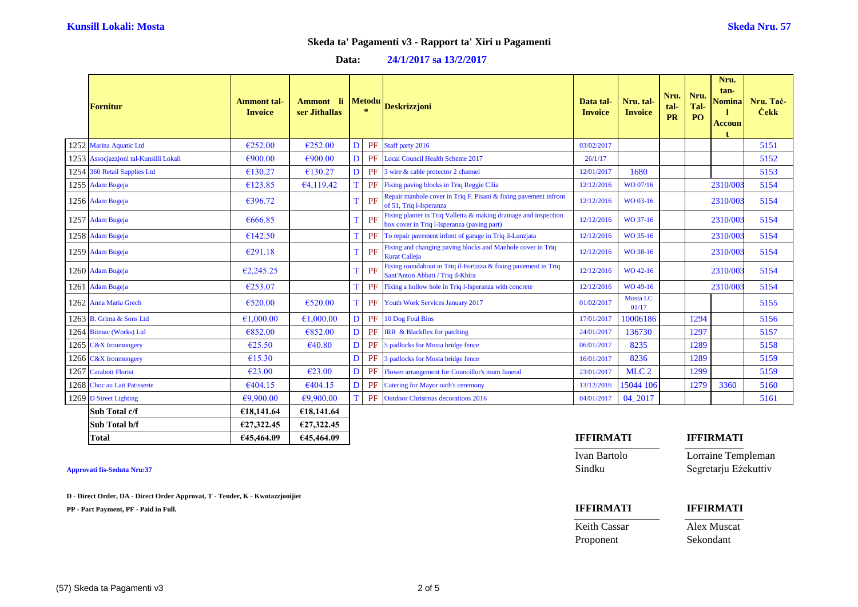| <b>Fornitur</b>                        | <b>Ammont</b> tal-<br><b>Invoice</b> | Ammont li<br>ser Jithallas |   | <b>Metodu</b><br>$\star$ | <b>Deskrizzjoni</b>                                                                                             | Data tal-<br><b>Invoice</b> | Nru. tal-<br><b>Invoice</b> | Nru.<br>tal-<br><b>PR</b> | Nru.<br>Tal-<br>PO | Nru.<br>tan-<br><b>Nomina</b><br><b>Accoun</b> | Nru. Tač<br><b>Cekk</b> |
|----------------------------------------|--------------------------------------|----------------------------|---|--------------------------|-----------------------------------------------------------------------------------------------------------------|-----------------------------|-----------------------------|---------------------------|--------------------|------------------------------------------------|-------------------------|
| 1252 Marina Aquatic Ltd                | €252.00                              | €252.00                    | D |                          | PF Staff party 2016                                                                                             | 03/02/2017                  |                             |                           |                    |                                                | 5151                    |
| 1253 Assocjazzjoni tal-Kunsilli Lokali | €900.00                              | €900.00                    | D | PF                       | <b>Local Council Health Scheme 2017</b>                                                                         | 26/1/17                     |                             |                           |                    |                                                | 5152                    |
| 1254 360 Retail Supplies Ltd           | €130.27                              | €130.27                    | D | PF                       | 3 wire & cable protector 2 channel                                                                              | 12/01/2017                  | 1680                        |                           |                    |                                                | 5153                    |
| 1255 Adam Bugeja                       | €123.85                              | 64,119.42                  | T | PF                       | Fixing paving blocks in Triq Reggie Cilia                                                                       | 12/12/2016                  | WO 07/16                    |                           |                    | 2310/00                                        | 5154                    |
| 1256 Adam Bugeja                       | €396.72                              |                            | T | PF                       | Repair manhole cover in Triq F. Pisani & fixing pavement infront<br>of 51, Triq l-Isperanza                     | 12/12/2016                  | WO 03-16                    |                           |                    | 2310/00                                        | 5154                    |
| 1257 Adam Bugeja                       | €666.85                              |                            | T | PF                       | Fixing planter in Triq Valletta & making drainage and inspection<br>box cover in Triq l-Isperanza (paving part) | 12/12/2016                  | WO 37-16                    |                           |                    | 2310/003                                       | 5154                    |
| 1258 Adam Bugeja                       | €142.50                              |                            | T | PF                       | To repair pavement infont of garage in Triq il-Lunzjata                                                         | 12/12/2016                  | WO 35-16                    |                           |                    | 2310/003                                       | 5154                    |
| 1259 Adam Bugeja                       | E291.18                              |                            | T | PF                       | Fixing and changing paving blocks and Manhole cover in Triq<br><b>Kurat Calleja</b>                             | 12/12/2016                  | WO 38-16                    |                           |                    | 2310/00                                        | 5154                    |
| 1260 Adam Bugeja                       | E2,245.25                            |                            | T | PF                       | Fixing roundabout in Triq il-Fortizza & fixing pavement in Triq<br>Sant'Anton Abbati / Triq il-Kbira            | 12/12/2016                  | WO 42-16                    |                           |                    | 2310/00                                        | 5154                    |
| 1261 Adam Bugeja                       | €253.07                              |                            | T | PF                       | Fixing a hollow hole in Triq l-Isperanza with concrete                                                          | 12/12/2016                  | WO 49-16                    |                           |                    | 2310/00                                        | 5154                    |
| 1262 Anna Maria Grech                  | €520.00                              | €520.00                    | T | PF                       | Youth Work Services January 2017                                                                                | 01/02/2017                  | <b>Mosta LC</b><br>01/17    |                           |                    |                                                | 5155                    |
| 1263 B. Grima & Sons Ltd               | €1,000.00                            | €1,000,00                  | D | PF                       | 10 Dog Foul Bins                                                                                                | 17/01/2017                  | 10006186                    |                           | 1294               |                                                | 5156                    |
| 1264 Bitmac (Works) Ltd                | €852.00                              | €852.00                    | D | PF                       | IRR & Blackflex for patching                                                                                    | 24/01/2017                  | 136730                      |                           | 1297               |                                                | 5157                    |
| 1265 C&X Ironmongery                   | €25.50                               | $\epsilon$ 40.80           | D | PF                       | 5 padlocks for Mosta bridge fence                                                                               | 06/01/2017                  | 8235                        |                           | 1289               |                                                | 5158                    |
| 1266 C&X Ironmongery                   | €15.30                               |                            | D | PF                       | 3 padlocks for Mosta bridge fence                                                                               | 16/01/2017                  | 8236                        |                           | 1289               |                                                | 5159                    |
| 1267 Carabott Florist                  | E23.00                               | E23.00                     | D | PF                       | Flower arrangement for Councillor's mum funeral                                                                 | 23/01/2017                  | MLC <sub>2</sub>            |                           | 1299               |                                                | 5159                    |
| 1268 Choc au Lait Patisserie           | 6404.15                              | €404.15                    | D | PF                       | <b>Catering for Mayor oath's ceremony</b>                                                                       | 13/12/2016                  | 15044 106                   |                           | 1279               | 3360                                           | 5160                    |
| 1269 D Street Lighting                 | €9,900.00                            | €9,900.00                  | T | PF                       | <b>Outdoor Christmas decorations 2016</b>                                                                       | 04/01/2017                  | 04_2017                     |                           |                    |                                                | 5161                    |
| Sub Total c/f                          | €18,141.64                           | €18,141.64                 |   |                          |                                                                                                                 |                             |                             |                           |                    |                                                |                         |
| Sub Total b/f                          | €27,322.45                           | €27,322.45                 |   |                          |                                                                                                                 |                             |                             |                           |                    |                                                |                         |

**Approvati fis-Seduta Nru:37** Sindku Segretarju Eżekuttiv

**D - Direct Order, DA - Direct Order Approvat, T - Tender, K - Kwotazzjonijiet**

**PP - Part Payment, PF - Paid in Full. IFFIRMATI IFFIRMATI**

# **Total €45,464.09 €45,464.09 IFFIRMATI IFFIRMATI**

Ivan Bartolo Lorraine Templeman

Keith Cassar Alex Muscat

Proponent Sekondant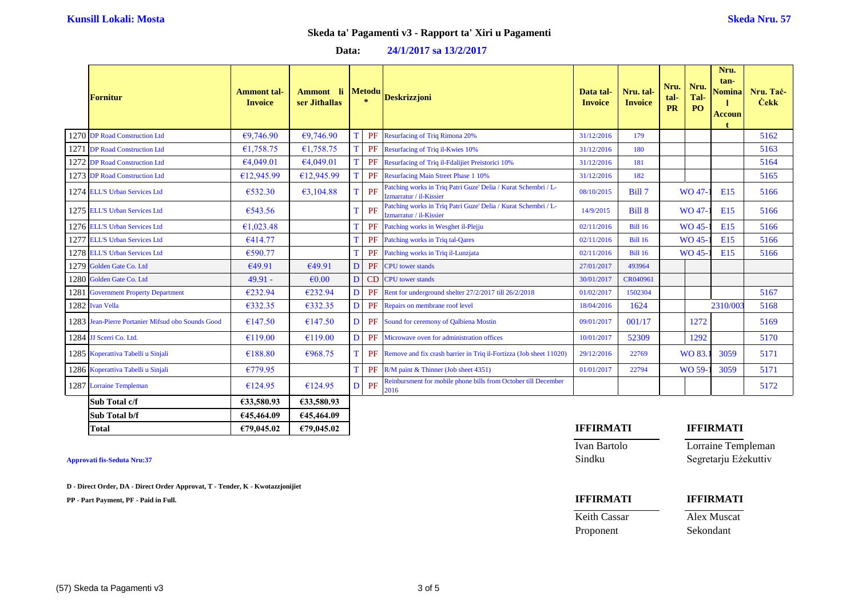### **Data: 24/1/2017 sa 13/2/2017**

|      | <b>Fornitur</b>                                   | <b>Ammont</b> tal-<br><b>Invoice</b> | Ammont li<br>ser Jithallas |   | <b>Metodu</b><br>$\star$ | <b>Deskrizzjoni</b>                                                                       | Data tal-<br><b>Invoice</b> | Nru. tal-<br><b>Invoice</b> | Nru.<br>tal-<br><b>PR</b> | Nru.<br>Tal-<br>P <sub>O</sub> | Nru.<br>tan-<br><b>Nomina</b><br><b>Accoun</b> | Nru. Tac-<br><b>Cekk</b> |
|------|---------------------------------------------------|--------------------------------------|----------------------------|---|--------------------------|-------------------------------------------------------------------------------------------|-----------------------------|-----------------------------|---------------------------|--------------------------------|------------------------------------------------|--------------------------|
|      | 1270 DP Road Construction Ltd                     | E9,746.90                            | E9,746.90                  |   | PF                       | <b>Resurfacing of Triq Rimona 20%</b>                                                     | 31/12/2016                  | 179                         |                           |                                |                                                | 5162                     |
|      | 1271 DP Road Construction Ltd                     | €1,758.75                            | €1,758.75                  |   | PF                       | Resurfacing of Triq il-Kwies 10%                                                          | 31/12/2016                  | 180                         |                           |                                |                                                | 5163                     |
|      | 1272 DP Road Construction Ltd                     | €4,049.01                            | 64,049.01                  |   | PF                       | Resurfacing of Triq il-Fdalijiet Preistorici 10%                                          | 31/12/2016                  | 181                         |                           |                                |                                                | 5164                     |
|      | 1273 DP Road Construction Ltd                     | €12,945.99                           | £12,945.99                 |   | PF                       | <b>Resurfacing Main Street Phase 1 10%</b>                                                | 31/12/2016                  | 182                         |                           |                                |                                                | 5165                     |
|      | 1274 ELL'S Urban Services Ltd                     | €532.30                              | 63,104.88                  |   | PF                       | Patching works in Triq Patri Guze' Delia / Kurat Schembri / L-<br>Izmarratur / il-Kissier | 08/10/2015                  | Bill 7                      |                           | WO 47                          | E15                                            | 5166                     |
|      | 1275 ELL'S Urban Services Ltd                     | €543.56                              |                            |   | PF                       | Patching works in Triq Patri Guze' Delia / Kurat Schembri / L-<br>Izmarratur / il-Kissier | 14/9/2015                   | Bill 8                      |                           | <b>WO 47</b>                   | E15                                            | 5166                     |
|      | 1276 ELL'S Urban Services Ltd                     | €1,023.48                            |                            |   | PF                       | Patching works in Wesghet il-Plejju                                                       | 02/11/2016                  | <b>Bill 16</b>              |                           | WO 45                          | <b>E15</b>                                     | 5166                     |
|      | 1277 ELL'S Urban Services Ltd                     | €414.77                              |                            |   | PF                       | Patching works in Triq tal-Qares                                                          | 02/11/2016                  | <b>Bill 16</b>              |                           | WO 45                          | E15                                            | 5166                     |
|      | 1278 ELL'S Urban Services Ltd                     | €590.77                              |                            |   | PF                       | Patching works in Triq il-Lunzjata                                                        | 02/11/2016                  | <b>Bill 16</b>              |                           | WO 45-                         | <b>E15</b>                                     | 5166                     |
|      | 1279 Golden Gate Co. Ltd                          | €49.91                               | €49.91                     | D | PF                       | <b>CPU</b> tower stands                                                                   | 27/01/2017                  | 493964                      |                           |                                |                                                |                          |
|      | 1280 Golden Gate Co. Ltd                          | $49.91 -$                            | €0.00                      | D | <b>CD</b>                | <b>CPU</b> tower stands                                                                   | 30/01/2017                  | CR040961                    |                           |                                |                                                |                          |
| 1281 | <b>Government Property Department</b>             | €232.94                              | €232.94                    | D | PF                       | Rent for underground shelter 27/2/2017 till 26/2/2018                                     | 01/02/2017                  | 1502304                     |                           |                                |                                                | 5167                     |
|      | 1282 Ivan Vella                                   | €332.35                              | €332.35                    | D |                          | PF Repairs on membrane roof level                                                         | 18/04/2016                  | 1624                        |                           |                                | 2310/003                                       | 5168                     |
|      | 1283 Jean-Pierre Portanier Mifsud obo Sounds Good | €147.50                              | €147.50                    | D | PF                       | Sound for ceremony of Qalbiena Mostin                                                     | 09/01/2017                  | 001/17                      |                           | 1272                           |                                                | 5169                     |
|      | 1284 JJ Scerri Co. Ltd.                           | €119.00                              | €119.00                    | D | PF                       | Microwave oven for administration offices                                                 | 10/01/2017                  | 52309                       |                           | 1292                           |                                                | 5170                     |
|      | 1285 Koperattiva Tabelli u Sinjali                | €188.80                              | €968.75                    |   |                          | <b>PF</b> Remove and fix crash barrier in Triq il-Fortizza (Job sheet 11020)              | 29/12/2016                  | 22769                       |                           | WO 83.                         | 3059                                           | 5171                     |
|      | 1286 Koperattiva Tabelli u Sinjali                | €779.95                              |                            | Т | PF                       | R/M paint & Thinner (Job sheet 4351)                                                      | 01/01/2017                  | 22794                       |                           | WO 59-                         | 3059                                           | 5171                     |
|      | 1287 Lorraine Templeman                           | €124.95                              | €124.95                    | D | PF                       | Reinbursment for mobile phone bills from October till December<br>2016                    |                             |                             |                           |                                |                                                | 5172                     |
|      | Sub Total c/f                                     | €33,580.93                           | €33,580.93                 |   |                          |                                                                                           |                             |                             |                           |                                |                                                |                          |
|      | Sub Total b/f                                     | €45,464.09                           | €45,464.09                 |   |                          |                                                                                           |                             |                             |                           |                                |                                                |                          |

**D - Direct Order, DA - Direct Order Approvat, T - Tender, K - Kwotazzjonijiet**

**PP - Part Payment, PF - Paid in Full. IFFIRMATI IFFIRMATI**

### **Total €79,045.02 €79,045.02 IFFIRMATI IFFIRMATI**

Ivan Bartolo Lorraine Templeman **Approvati fis-Seduta Nru:37** Sindku Segretarju Eżekuttiv

Keith Cassar Alex Muscat Proponent Sekondant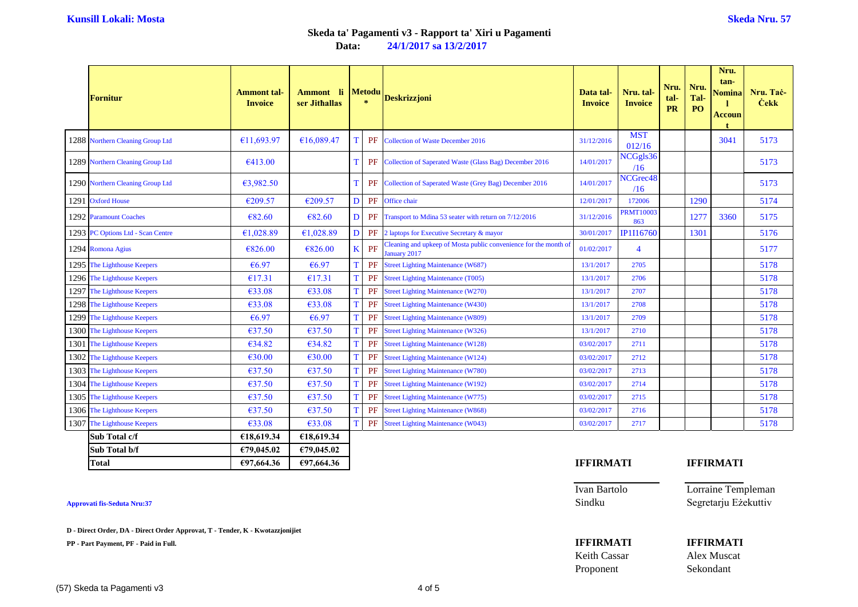**Data: 24/1/2017 sa 13/2/2017**

|      | <b>Fornitur</b>                   | <b>Ammont</b> tal-<br><b>Invoice</b> | Ammont li<br>ser Jithallas |   | <b>Metodu</b><br>$\gg$ | <b>Deskrizzjoni</b>                                                              | Data tal-<br><b>Invoice</b> | Nru. tal-<br><b>Invoice</b> | Nru.<br>tal-<br><b>PR</b> | Nru.<br>Tal-<br>PO | Nru.<br>tan-<br>Nomina<br><b>Accoun</b> | Nru. Tač<br><b>Cekk</b> |
|------|-----------------------------------|--------------------------------------|----------------------------|---|------------------------|----------------------------------------------------------------------------------|-----------------------------|-----------------------------|---------------------------|--------------------|-----------------------------------------|-------------------------|
|      | 1288 Northern Cleaning Group Ltd  | €11,693.97                           | €16,089.47                 |   | PF                     | <b>Collection of Waste December 2016</b>                                         | 31/12/2016                  | <b>MST</b><br>012/16        |                           |                    | 3041                                    | 5173                    |
|      | 1289 Northern Cleaning Group Ltd  | 6413.00                              |                            |   | PF                     | Collection of Saperated Waste (Glass Bag) December 2016                          | 14/01/2017                  | NCGgls36<br>/16             |                           |                    |                                         | 5173                    |
|      | 1290 Northern Cleaning Group Ltd  | €3,982.50                            |                            |   |                        | <b>PF</b> Collection of Saperated Waste (Grey Bag) December 2016                 | 14/01/2017                  | NCGrec <sub>48</sub><br>/16 |                           |                    |                                         | 5173                    |
|      | 1291 Oxford House                 | €209.57                              | €209.57                    | D |                        | PF Office chair                                                                  | 12/01/2017                  | 172006                      |                           | 1290               |                                         | 5174                    |
|      | 1292 Paramount Coaches            | €82.60                               | €82.60                     | D |                        | PF Transport to Mdina 53 seater with return on 7/12/2016                         | 31/12/2016                  | <b>PRMT10003</b><br>863     |                           | 1277               | 3360                                    | 5175                    |
|      | 1293 PC Options Ltd - Scan Centre | €1,028.89                            | €1,028.89                  | D | PF                     | 2 laptops for Executive Secretary & mayor                                        | 30/01/2017                  | IP1I16760                   |                           | 1301               |                                         | 5176                    |
|      | 1294 Romona Agius                 | €826.00                              | €826.00                    | K | PF                     | Cleaning and upkeep of Mosta public convenience for the month of<br>January 2017 | 01/02/2017                  | $\overline{4}$              |                           |                    |                                         | 5177                    |
|      | 1295 The Lighthouse Keepers       | €6.97                                | €6.97                      |   | PF                     | <b>Street Lighting Maintenance (W687)</b>                                        | 13/1/2017                   | 2705                        |                           |                    |                                         | 5178                    |
|      | 1296 The Lighthouse Keepers       | €17.31                               | €17.31                     |   |                        | PF Street Lighting Maintenance (T005)                                            | 13/1/2017                   | 2706                        |                           |                    |                                         | 5178                    |
|      | 1297 The Lighthouse Keepers       | €33.08                               | €33.08                     |   | PF                     | <b>Street Lighting Maintenance (W270)</b>                                        | 13/1/2017                   | 2707                        |                           |                    |                                         | 5178                    |
|      | 1298 The Lighthouse Keepers       | €33.08                               | €33.08                     | Т |                        | PF Street Lighting Maintenance (W430)                                            | 13/1/2017                   | 2708                        |                           |                    |                                         | 5178                    |
| 1299 | The Lighthouse Keepers            | €6.97                                | €6.97                      |   | PF                     | <b>Street Lighting Maintenance (W809)</b>                                        | 13/1/2017                   | 2709                        |                           |                    |                                         | 5178                    |
|      | 1300 The Lighthouse Keepers       | €37.50                               | €37.50                     |   |                        | PF Street Lighting Maintenance (W326)                                            | 13/1/2017                   | 2710                        |                           |                    |                                         | 5178                    |
|      | 1301 The Lighthouse Keepers       | €34.82                               | €34.82                     |   | PF                     | <b>Street Lighting Maintenance (W128)</b>                                        | 03/02/2017                  | 2711                        |                           |                    |                                         | 5178                    |
| 1302 | The Lighthouse Keepers            | €30.00                               | €30.00                     |   | PF                     | <b>Street Lighting Maintenance (W124)</b>                                        | 03/02/2017                  | 2712                        |                           |                    |                                         | 5178                    |
|      | 1303 The Lighthouse Keepers       | €37.50                               | €37.50                     |   | PF                     | <b>Street Lighting Maintenance (W780)</b>                                        | 03/02/2017                  | 2713                        |                           |                    |                                         | 5178                    |
|      | 1304 The Lighthouse Keepers       | €37.50                               | €37.50                     |   | PF                     | <b>Street Lighting Maintenance (W192)</b>                                        | 03/02/2017                  | 2714                        |                           |                    |                                         | 5178                    |
|      | 1305 The Lighthouse Keepers       | €37.50                               | €37.50                     |   | PF                     | <b>Street Lighting Maintenance (W775)</b>                                        | 03/02/2017                  | 2715                        |                           |                    |                                         | 5178                    |
|      | 1306 The Lighthouse Keepers       | €37.50                               | €37.50                     | Т | PF                     | <b>Street Lighting Maintenance (W868)</b>                                        | 03/02/2017                  | 2716                        |                           |                    |                                         | 5178                    |
|      | 1307 The Lighthouse Keepers       | €33.08                               | €33.08                     |   |                        | <b>PF</b> Street Lighting Maintenance (W043)                                     | 03/02/2017                  | 2717                        |                           |                    |                                         | 5178                    |
|      | Sub Total c/f                     | €18,619.34                           | €18,619.34                 |   |                        |                                                                                  |                             |                             |                           |                    |                                         |                         |
|      | Sub Total b/f                     | €79,045.02                           | €79,045.02                 |   |                        |                                                                                  |                             |                             |                           |                    |                                         |                         |

**D - Direct Order, DA - Direct Order Approvat, T - Tender, K - Kwotazzjonijiet**

**PP - Part Payment, PF - Paid in Full. IFFIRMATI IFFIRMATI**

### **Total €97,664.36 €97,664.36 IFFIRMATI IFFIRMATI**

Ivan Bartolo Lorraine Templeman **Approvati fis-Seduta Nru:37** Sindku Segretarju Eżekuttiv

# Keith Cassar Alex Muscat Proponent Sekondant